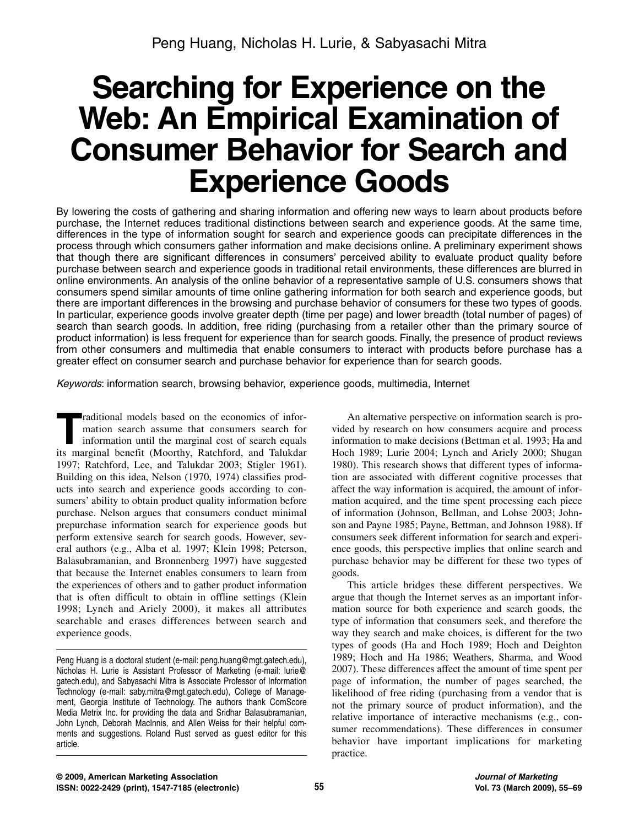# **Searching for Experience on the Web: An Empirical Examination of Consumer Behavior for Search and Experience Goods**

By lowering the costs of gathering and sharing information and offering new ways to learn about products before purchase, the Internet reduces traditional distinctions between search and experience goods. At the same time, differences in the type of information sought for search and experience goods can precipitate differences in the process through which consumers gather information and make decisions online. A preliminary experiment shows that though there are significant differences in consumers' perceived ability to evaluate product quality before purchase between search and experience goods in traditional retail environments, these differences are blurred in online environments. An analysis of the online behavior of a representative sample of U.S. consumers shows that consumers spend similar amounts of time online gathering information for both search and experience goods, but there are important differences in the browsing and purchase behavior of consumers for these two types of goods. In particular, experience goods involve greater depth (time per page) and lower breadth (total number of pages) of search than search goods. In addition, free riding (purchasing from a retailer other than the primary source of product information) is less frequent for experience than for search goods. Finally, the presence of product reviews from other consumers and multimedia that enable consumers to interact with products before purchase has a greater effect on consumer search and purchase behavior for experience than for search goods.

Keywords: information search, browsing behavior, experience goods, multimedia, Internet

**T**raditional models based on the economics of information search assume that consumers search for information until the marginal cost of search equals its marginal benefit (Moorthy, Ratchford, and Talukdar 1997; Ratchford, Lee, and Talukdar 2003; Stigler 1961). Building on this idea, Nelson (1970, 1974) classifies products into search and experience goods according to consumers' ability to obtain product quality information before purchase. Nelson argues that consumers conduct minimal prepurchase information search for experience goods but perform extensive search for search goods. However, several authors (e.g., Alba et al. 1997; Klein 1998; Peterson, Balasubramanian, and Bronnenberg 1997) have suggested that because the Internet enables consumers to learn from the experiences of others and to gather product information that is often difficult to obtain in offline settings (Klein 1998; Lynch and Ariely 2000), it makes all attributes searchable and erases differences between search and experience goods.

Peng Huang is a doctoral student (e-mail: peng.huang@mgt.gatech.edu), Nicholas H. Lurie is Assistant Professor of Marketing (e-mail: lurie@ gatech.edu), and Sabyasachi Mitra is Associate Professor of Information Technology (e-mail: saby.mitra@mgt.gatech.edu), College of Management, Georgia Institute of Technology. The authors thank ComScore Media Metrix Inc. for providing the data and Sridhar Balasubramanian, John Lynch, Deborah MacInnis, and Allen Weiss for their helpful comments and suggestions. Roland Rust served as guest editor for this article.

An alternative perspective on information search is provided by research on how consumers acquire and process information to make decisions (Bettman et al. 1993; Ha and Hoch 1989; Lurie 2004; Lynch and Ariely 2000; Shugan 1980). This research shows that different types of information are associated with different cognitive processes that affect the way information is acquired, the amount of information acquired, and the time spent processing each piece of information (Johnson, Bellman, and Lohse 2003; Johnson and Payne 1985; Payne, Bettman, and Johnson 1988). If consumers seek different information for search and experience goods, this perspective implies that online search and purchase behavior may be different for these two types of goods.

This article bridges these different perspectives. We argue that though the Internet serves as an important information source for both experience and search goods, the type of information that consumers seek, and therefore the way they search and make choices, is different for the two types of goods (Ha and Hoch 1989; Hoch and Deighton 1989; Hoch and Ha 1986; Weathers, Sharma, and Wood 2007). These differences affect the amount of time spent per page of information, the number of pages searched, the likelihood of free riding (purchasing from a vendor that is not the primary source of product information), and the relative importance of interactive mechanisms (e.g., consumer recommendations). These differences in consumer behavior have important implications for marketing practice.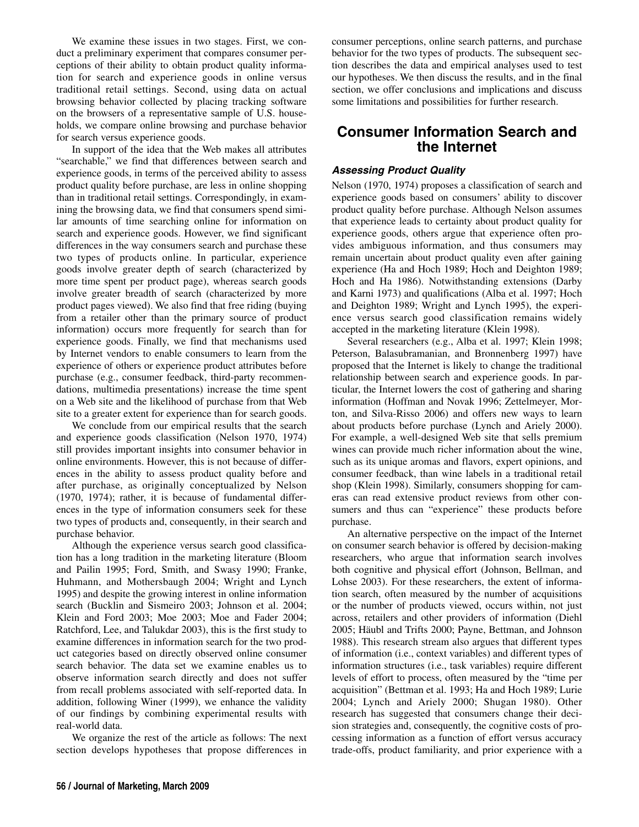We examine these issues in two stages. First, we conduct a preliminary experiment that compares consumer perceptions of their ability to obtain product quality information for search and experience goods in online versus traditional retail settings. Second, using data on actual browsing behavior collected by placing tracking software on the browsers of a representative sample of U.S. households, we compare online browsing and purchase behavior for search versus experience goods.

In support of the idea that the Web makes all attributes "searchable," we find that differences between search and experience goods, in terms of the perceived ability to assess product quality before purchase, are less in online shopping than in traditional retail settings. Correspondingly, in examining the browsing data, we find that consumers spend similar amounts of time searching online for information on search and experience goods. However, we find significant differences in the way consumers search and purchase these two types of products online. In particular, experience goods involve greater depth of search (characterized by more time spent per product page), whereas search goods involve greater breadth of search (characterized by more product pages viewed). We also find that free riding (buying from a retailer other than the primary source of product information) occurs more frequently for search than for experience goods. Finally, we find that mechanisms used by Internet vendors to enable consumers to learn from the experience of others or experience product attributes before purchase (e.g., consumer feedback, third-party recommendations, multimedia presentations) increase the time spent on a Web site and the likelihood of purchase from that Web site to a greater extent for experience than for search goods.

We conclude from our empirical results that the search and experience goods classification (Nelson 1970, 1974) still provides important insights into consumer behavior in online environments. However, this is not because of differences in the ability to assess product quality before and after purchase, as originally conceptualized by Nelson (1970, 1974); rather, it is because of fundamental differences in the type of information consumers seek for these two types of products and, consequently, in their search and purchase behavior.

Although the experience versus search good classification has a long tradition in the marketing literature (Bloom and Pailin 1995; Ford, Smith, and Swasy 1990; Franke, Huhmann, and Mothersbaugh 2004; Wright and Lynch 1995) and despite the growing interest in online information search (Bucklin and Sismeiro 2003; Johnson et al. 2004; Klein and Ford 2003; Moe 2003; Moe and Fader 2004; Ratchford, Lee, and Talukdar 2003), this is the first study to examine differences in information search for the two product categories based on directly observed online consumer search behavior. The data set we examine enables us to observe information search directly and does not suffer from recall problems associated with self-reported data. In addition, following Winer (1999), we enhance the validity of our findings by combining experimental results with real-world data.

We organize the rest of the article as follows: The next section develops hypotheses that propose differences in consumer perceptions, online search patterns, and purchase behavior for the two types of products. The subsequent section describes the data and empirical analyses used to test our hypotheses. We then discuss the results, and in the final section, we offer conclusions and implications and discuss some limitations and possibilities for further research.

## **Consumer Information Search and the Internet**

### **Assessing Product Quality**

Nelson (1970, 1974) proposes a classification of search and experience goods based on consumers' ability to discover product quality before purchase. Although Nelson assumes that experience leads to certainty about product quality for experience goods, others argue that experience often provides ambiguous information, and thus consumers may remain uncertain about product quality even after gaining experience (Ha and Hoch 1989; Hoch and Deighton 1989; Hoch and Ha 1986). Notwithstanding extensions (Darby and Karni 1973) and qualifications (Alba et al. 1997; Hoch and Deighton 1989; Wright and Lynch 1995), the experience versus search good classification remains widely accepted in the marketing literature (Klein 1998).

Several researchers (e.g., Alba et al. 1997; Klein 1998; Peterson, Balasubramanian, and Bronnenberg 1997) have proposed that the Internet is likely to change the traditional relationship between search and experience goods. In particular, the Internet lowers the cost of gathering and sharing information (Hoffman and Novak 1996; Zettelmeyer, Morton, and Silva-Risso 2006) and offers new ways to learn about products before purchase (Lynch and Ariely 2000). For example, a well-designed Web site that sells premium wines can provide much richer information about the wine, such as its unique aromas and flavors, expert opinions, and consumer feedback, than wine labels in a traditional retail shop (Klein 1998). Similarly, consumers shopping for cameras can read extensive product reviews from other consumers and thus can "experience" these products before purchase.

An alternative perspective on the impact of the Internet on consumer search behavior is offered by decision-making researchers, who argue that information search involves both cognitive and physical effort (Johnson, Bellman, and Lohse 2003). For these researchers, the extent of information search, often measured by the number of acquisitions or the number of products viewed, occurs within, not just across, retailers and other providers of information (Diehl 2005; Häubl and Trifts 2000; Payne, Bettman, and Johnson 1988). This research stream also argues that different types of information (i.e., context variables) and different types of information structures (i.e., task variables) require different levels of effort to process, often measured by the "time per acquisition" (Bettman et al. 1993; Ha and Hoch 1989; Lurie 2004; Lynch and Ariely 2000; Shugan 1980). Other research has suggested that consumers change their decision strategies and, consequently, the cognitive costs of processing information as a function of effort versus accuracy trade-offs, product familiarity, and prior experience with a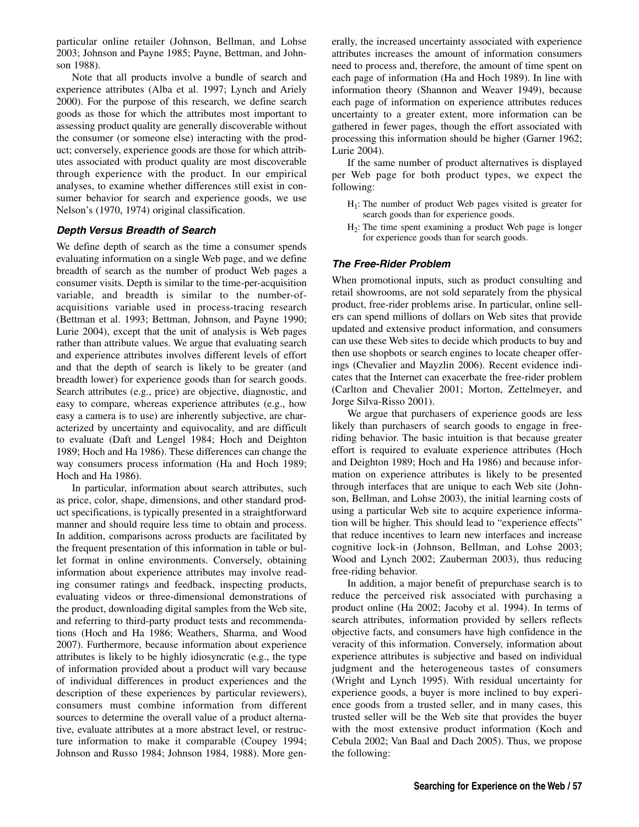particular online retailer (Johnson, Bellman, and Lohse 2003; Johnson and Payne 1985; Payne, Bettman, and Johnson 1988).

Note that all products involve a bundle of search and experience attributes (Alba et al. 1997; Lynch and Ariely 2000). For the purpose of this research, we define search goods as those for which the attributes most important to assessing product quality are generally discoverable without the consumer (or someone else) interacting with the product; conversely, experience goods are those for which attributes associated with product quality are most discoverable through experience with the product. In our empirical analyses, to examine whether differences still exist in consumer behavior for search and experience goods, we use Nelson's (1970, 1974) original classification.

#### **Depth Versus Breadth of Search**

We define depth of search as the time a consumer spends evaluating information on a single Web page, and we define breadth of search as the number of product Web pages a consumer visits. Depth is similar to the time-per-acquisition variable, and breadth is similar to the number-ofacquisitions variable used in process-tracing research (Bettman et al. 1993; Bettman, Johnson, and Payne 1990; Lurie 2004), except that the unit of analysis is Web pages rather than attribute values. We argue that evaluating search and experience attributes involves different levels of effort and that the depth of search is likely to be greater (and breadth lower) for experience goods than for search goods. Search attributes (e.g., price) are objective, diagnostic, and easy to compare, whereas experience attributes (e.g., how easy a camera is to use) are inherently subjective, are characterized by uncertainty and equivocality, and are difficult to evaluate (Daft and Lengel 1984; Hoch and Deighton 1989; Hoch and Ha 1986). These differences can change the way consumers process information (Ha and Hoch 1989; Hoch and Ha 1986).

In particular, information about search attributes, such as price, color, shape, dimensions, and other standard product specifications, is typically presented in a straightforward manner and should require less time to obtain and process. In addition, comparisons across products are facilitated by the frequent presentation of this information in table or bullet format in online environments. Conversely, obtaining information about experience attributes may involve reading consumer ratings and feedback, inspecting products, evaluating videos or three-dimensional demonstrations of the product, downloading digital samples from the Web site, and referring to third-party product tests and recommendations (Hoch and Ha 1986; Weathers, Sharma, and Wood 2007). Furthermore, because information about experience attributes is likely to be highly idiosyncratic (e.g., the type of information provided about a product will vary because of individual differences in product experiences and the description of these experiences by particular reviewers), consumers must combine information from different sources to determine the overall value of a product alternative, evaluate attributes at a more abstract level, or restructure information to make it comparable (Coupey 1994; Johnson and Russo 1984; Johnson 1984, 1988). More generally, the increased uncertainty associated with experience attributes increases the amount of information consumers need to process and, therefore, the amount of time spent on each page of information (Ha and Hoch 1989). In line with information theory (Shannon and Weaver 1949), because each page of information on experience attributes reduces uncertainty to a greater extent, more information can be gathered in fewer pages, though the effort associated with processing this information should be higher (Garner 1962; Lurie 2004).

If the same number of product alternatives is displayed per Web page for both product types, we expect the following:

- $H<sub>1</sub>$ : The number of product Web pages visited is greater for search goods than for experience goods.
- H2: The time spent examining a product Web page is longer for experience goods than for search goods.

#### **The Free-Rider Problem**

When promotional inputs, such as product consulting and retail showrooms, are not sold separately from the physical product, free-rider problems arise. In particular, online sellers can spend millions of dollars on Web sites that provide updated and extensive product information, and consumers can use these Web sites to decide which products to buy and then use shopbots or search engines to locate cheaper offerings (Chevalier and Mayzlin 2006). Recent evidence indicates that the Internet can exacerbate the free-rider problem (Carlton and Chevalier 2001; Morton, Zettelmeyer, and Jorge Silva-Risso 2001).

We argue that purchasers of experience goods are less likely than purchasers of search goods to engage in freeriding behavior. The basic intuition is that because greater effort is required to evaluate experience attributes (Hoch and Deighton 1989; Hoch and Ha 1986) and because information on experience attributes is likely to be presented through interfaces that are unique to each Web site (Johnson, Bellman, and Lohse 2003), the initial learning costs of using a particular Web site to acquire experience information will be higher. This should lead to "experience effects" that reduce incentives to learn new interfaces and increase cognitive lock-in (Johnson, Bellman, and Lohse 2003; Wood and Lynch 2002; Zauberman 2003), thus reducing free-riding behavior.

In addition, a major benefit of prepurchase search is to reduce the perceived risk associated with purchasing a product online (Ha 2002; Jacoby et al. 1994). In terms of search attributes, information provided by sellers reflects objective facts, and consumers have high confidence in the veracity of this information. Conversely, information about experience attributes is subjective and based on individual judgment and the heterogeneous tastes of consumers (Wright and Lynch 1995). With residual uncertainty for experience goods, a buyer is more inclined to buy experience goods from a trusted seller, and in many cases, this trusted seller will be the Web site that provides the buyer with the most extensive product information (Koch and Cebula 2002; Van Baal and Dach 2005). Thus, we propose the following: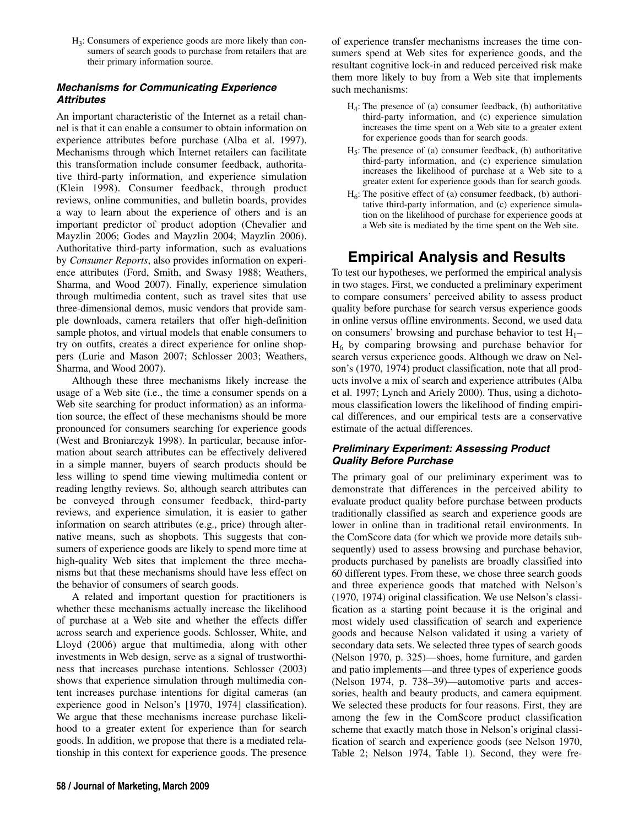H3: Consumers of experience goods are more likely than consumers of search goods to purchase from retailers that are their primary information source.

#### **Mechanisms for Communicating Experience Attributes**

An important characteristic of the Internet as a retail channel is that it can enable a consumer to obtain information on experience attributes before purchase (Alba et al. 1997). Mechanisms through which Internet retailers can facilitate this transformation include consumer feedback, authoritative third-party information, and experience simulation (Klein 1998). Consumer feedback, through product reviews, online communities, and bulletin boards, provides a way to learn about the experience of others and is an important predictor of product adoption (Chevalier and Mayzlin 2006; Godes and Mayzlin 2004; Mayzlin 2006). Authoritative third-party information, such as evaluations by *Consumer Reports*, also provides information on experience attributes (Ford, Smith, and Swasy 1988; Weathers, Sharma, and Wood 2007). Finally, experience simulation through multimedia content, such as travel sites that use three-dimensional demos, music vendors that provide sample downloads, camera retailers that offer high-definition sample photos, and virtual models that enable consumers to try on outfits, creates a direct experience for online shoppers (Lurie and Mason 2007; Schlosser 2003; Weathers, Sharma, and Wood 2007).

Although these three mechanisms likely increase the usage of a Web site (i.e., the time a consumer spends on a Web site searching for product information) as an information source, the effect of these mechanisms should be more pronounced for consumers searching for experience goods (West and Broniarczyk 1998). In particular, because information about search attributes can be effectively delivered in a simple manner, buyers of search products should be less willing to spend time viewing multimedia content or reading lengthy reviews. So, although search attributes can be conveyed through consumer feedback, third-party reviews, and experience simulation, it is easier to gather information on search attributes (e.g., price) through alternative means, such as shopbots. This suggests that consumers of experience goods are likely to spend more time at high-quality Web sites that implement the three mechanisms but that these mechanisms should have less effect on the behavior of consumers of search goods.

A related and important question for practitioners is whether these mechanisms actually increase the likelihood of purchase at a Web site and whether the effects differ across search and experience goods. Schlosser, White, and Lloyd (2006) argue that multimedia, along with other investments in Web design, serve as a signal of trustworthiness that increases purchase intentions. Schlosser (2003) shows that experience simulation through multimedia content increases purchase intentions for digital cameras (an experience good in Nelson's [1970, 1974] classification). We argue that these mechanisms increase purchase likelihood to a greater extent for experience than for search goods. In addition, we propose that there is a mediated relationship in this context for experience goods. The presence of experience transfer mechanisms increases the time consumers spend at Web sites for experience goods, and the resultant cognitive lock-in and reduced perceived risk make them more likely to buy from a Web site that implements such mechanisms:

- H4: The presence of (a) consumer feedback, (b) authoritative third-party information, and (c) experience simulation increases the time spent on a Web site to a greater extent for experience goods than for search goods.
- $H<sub>5</sub>$ : The presence of (a) consumer feedback, (b) authoritative third-party information, and (c) experience simulation increases the likelihood of purchase at a Web site to a greater extent for experience goods than for search goods.
- $H<sub>6</sub>$ : The positive effect of (a) consumer feedback, (b) authoritative third-party information, and (c) experience simulation on the likelihood of purchase for experience goods at a Web site is mediated by the time spent on the Web site.

## **Empirical Analysis and Results**

To test our hypotheses, we performed the empirical analysis in two stages. First, we conducted a preliminary experiment to compare consumers' perceived ability to assess product quality before purchase for search versus experience goods in online versus offline environments. Second, we used data on consumers' browsing and purchase behavior to test  $H_1$ –  $H<sub>6</sub>$  by comparing browsing and purchase behavior for search versus experience goods. Although we draw on Nelson's (1970, 1974) product classification, note that all products involve a mix of search and experience attributes (Alba et al. 1997; Lynch and Ariely 2000). Thus, using a dichotomous classification lowers the likelihood of finding empirical differences, and our empirical tests are a conservative estimate of the actual differences.

#### **Preliminary Experiment: Assessing Product Quality Before Purchase**

The primary goal of our preliminary experiment was to demonstrate that differences in the perceived ability to evaluate product quality before purchase between products traditionally classified as search and experience goods are lower in online than in traditional retail environments. In the ComScore data (for which we provide more details subsequently) used to assess browsing and purchase behavior, products purchased by panelists are broadly classified into 60 different types. From these, we chose three search goods and three experience goods that matched with Nelson's (1970, 1974) original classification. We use Nelson's classification as a starting point because it is the original and most widely used classification of search and experience goods and because Nelson validated it using a variety of secondary data sets. We selected three types of search goods (Nelson 1970, p. 325)—shoes, home furniture, and garden and patio implements—and three types of experience goods (Nelson 1974, p. 738–39)—automotive parts and accessories, health and beauty products, and camera equipment. We selected these products for four reasons. First, they are among the few in the ComScore product classification scheme that exactly match those in Nelson's original classification of search and experience goods (see Nelson 1970, Table 2; Nelson 1974, Table 1). Second, they were fre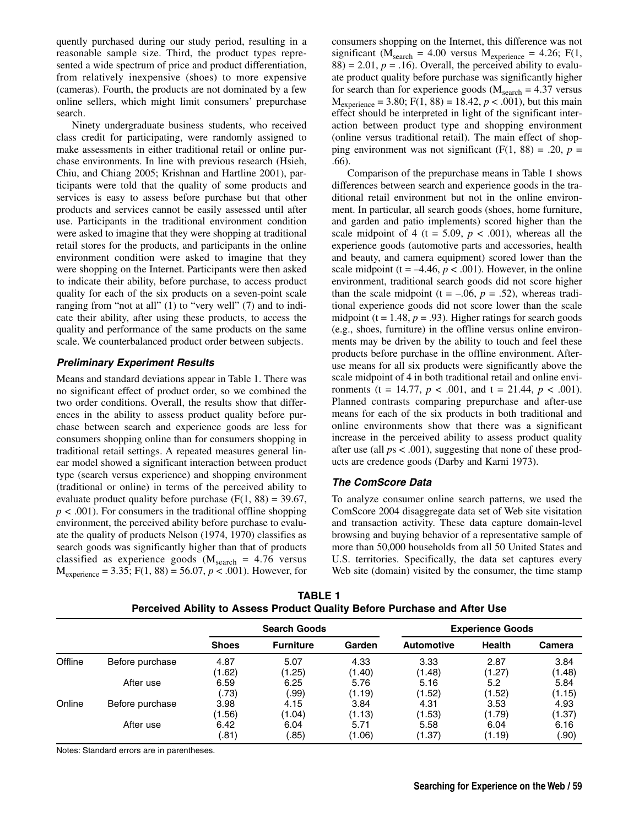quently purchased during our study period, resulting in a reasonable sample size. Third, the product types represented a wide spectrum of price and product differentiation, from relatively inexpensive (shoes) to more expensive (cameras). Fourth, the products are not dominated by a few online sellers, which might limit consumers' prepurchase search.

Ninety undergraduate business students, who received class credit for participating, were randomly assigned to make assessments in either traditional retail or online purchase environments. In line with previous research (Hsieh, Chiu, and Chiang 2005; Krishnan and Hartline 2001), participants were told that the quality of some products and services is easy to assess before purchase but that other products and services cannot be easily assessed until after use. Participants in the traditional environment condition were asked to imagine that they were shopping at traditional retail stores for the products, and participants in the online environment condition were asked to imagine that they were shopping on the Internet. Participants were then asked to indicate their ability, before purchase, to access product quality for each of the six products on a seven-point scale ranging from "not at all" (1) to "very well" (7) and to indicate their ability, after using these products, to access the quality and performance of the same products on the same scale. We counterbalanced product order between subjects.

#### **Preliminary Experiment Results**

Means and standard deviations appear in Table 1. There was no significant effect of product order, so we combined the two order conditions. Overall, the results show that differences in the ability to assess product quality before purchase between search and experience goods are less for consumers shopping online than for consumers shopping in traditional retail settings. A repeated measures general linear model showed a significant interaction between product type (search versus experience) and shopping environment (traditional or online) in terms of the perceived ability to evaluate product quality before purchase  $(F(1, 88) = 39.67)$ ,  $p < .001$ ). For consumers in the traditional offline shopping environment, the perceived ability before purchase to evaluate the quality of products Nelson (1974, 1970) classifies as search goods was significantly higher than that of products classified as experience goods ( $M_{\text{search}} = 4.76$  versus  $M_{\text{exnerience}} = 3.35$ ;  $F(1, 88) = 56.07, p < .001$ ). However, for consumers shopping on the Internet, this difference was not significant ( $M_{\text{search}} = 4.00$  versus  $M_{\text{exnerience}} = 4.26$ ; F(1,  $88$ ) = 2.01,  $p = .16$ ). Overall, the perceived ability to evaluate product quality before purchase was significantly higher for search than for experience goods ( $M_{\text{search}} = 4.37$  versus  $M_{\text{experience}} = 3.80$ ;  $F(1, 88) = 18.42, p < .001$ ), but this main effect should be interpreted in light of the significant interaction between product type and shopping environment (online versus traditional retail). The main effect of shopping environment was not significant  $(F(1, 88) = .20, p =$ .66).

Comparison of the prepurchase means in Table 1 shows differences between search and experience goods in the traditional retail environment but not in the online environment. In particular, all search goods (shoes, home furniture, and garden and patio implements) scored higher than the scale midpoint of 4 ( $t = 5.09$ ,  $p < .001$ ), whereas all the experience goods (automotive parts and accessories, health and beauty, and camera equipment) scored lower than the scale midpoint ( $t = -4.46$ ,  $p < .001$ ). However, in the online environment, traditional search goods did not score higher than the scale midpoint ( $t = -.06$ ,  $p = .52$ ), whereas traditional experience goods did not score lower than the scale midpoint ( $t = 1.48$ ,  $p = .93$ ). Higher ratings for search goods (e.g., shoes, furniture) in the offline versus online environments may be driven by the ability to touch and feel these products before purchase in the offline environment. Afteruse means for all six products were significantly above the scale midpoint of 4 in both traditional retail and online environments (t = 14.77,  $p < .001$ , and t = 21.44,  $p < .001$ ). Planned contrasts comparing prepurchase and after-use means for each of the six products in both traditional and online environments show that there was a significant increase in the perceived ability to assess product quality after use (all  $ps < .001$ ), suggesting that none of these products are credence goods (Darby and Karni 1973).

#### **The ComScore Data**

To analyze consumer online search patterns, we used the ComScore 2004 disaggregate data set of Web site visitation and transaction activity. These data capture domain-level browsing and buying behavior of a representative sample of more than 50,000 households from all 50 United States and U.S. territories. Specifically, the data set captures every Web site (domain) visited by the consumer, the time stamp

|         |                 | <b>Search Goods</b> |                  |                | <b>Experience Goods</b> |                |                |  |
|---------|-----------------|---------------------|------------------|----------------|-------------------------|----------------|----------------|--|
|         |                 | <b>Shoes</b>        | <b>Furniture</b> | Garden         | <b>Automotive</b>       | <b>Health</b>  | Camera         |  |
| Offline | Before purchase | 4.87<br>(1.62)      | 5.07<br>(1.25)   | 4.33<br>(1.40) | 3.33<br>(1.48)          | 2.87<br>(1.27) | 3.84<br>(1.48) |  |
|         | After use       | 6.59<br>(.73)       | 6.25<br>(99.     | 5.76<br>(1.19) | 5.16<br>(1.52)          | 5.2<br>(1.52)  | 5.84<br>(1.15) |  |
| Online  | Before purchase | 3.98<br>(1.56)      | 4.15<br>(1.04)   | 3.84<br>(1.13) | 4.31<br>(1.53)          | 3.53<br>(1.79) | 4.93<br>(1.37) |  |
|         | After use       | 6.42<br>.81         | 6.04<br>.85)     | 5.71<br>(1.06) | 5.58<br>(1.37)          | 6.04<br>(1.19) | 6.16<br>.90)   |  |

**TABLE 1 Perceived Ability to Assess Product Quality Before Purchase and After Use**

Notes: Standard errors are in parentheses.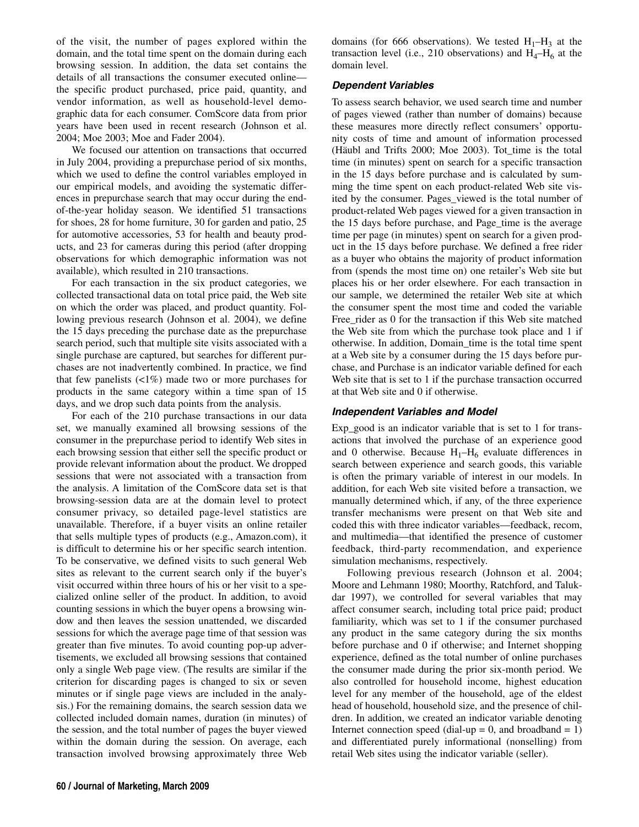of the visit, the number of pages explored within the domain, and the total time spent on the domain during each browsing session. In addition, the data set contains the details of all transactions the consumer executed online the specific product purchased, price paid, quantity, and vendor information, as well as household-level demographic data for each consumer. ComScore data from prior years have been used in recent research (Johnson et al. 2004; Moe 2003; Moe and Fader 2004).

We focused our attention on transactions that occurred in July 2004, providing a prepurchase period of six months, which we used to define the control variables employed in our empirical models, and avoiding the systematic differences in prepurchase search that may occur during the endof-the-year holiday season. We identified 51 transactions for shoes, 28 for home furniture, 30 for garden and patio, 25 for automotive accessories, 53 for health and beauty products, and 23 for cameras during this period (after dropping observations for which demographic information was not available), which resulted in 210 transactions.

For each transaction in the six product categories, we collected transactional data on total price paid, the Web site on which the order was placed, and product quantity. Following previous research (Johnson et al. 2004), we define the 15 days preceding the purchase date as the prepurchase search period, such that multiple site visits associated with a single purchase are captured, but searches for different purchases are not inadvertently combined. In practice, we find that few panelists  $\left\langle 1\% \right\rangle$  made two or more purchases for products in the same category within a time span of 15 days, and we drop such data points from the analysis.

For each of the 210 purchase transactions in our data set, we manually examined all browsing sessions of the consumer in the prepurchase period to identify Web sites in each browsing session that either sell the specific product or provide relevant information about the product. We dropped sessions that were not associated with a transaction from the analysis. A limitation of the ComScore data set is that browsing-session data are at the domain level to protect consumer privacy, so detailed page-level statistics are unavailable. Therefore, if a buyer visits an online retailer that sells multiple types of products (e.g., Amazon.com), it is difficult to determine his or her specific search intention. To be conservative, we defined visits to such general Web sites as relevant to the current search only if the buyer's visit occurred within three hours of his or her visit to a specialized online seller of the product. In addition, to avoid counting sessions in which the buyer opens a browsing window and then leaves the session unattended, we discarded sessions for which the average page time of that session was greater than five minutes. To avoid counting pop-up advertisements, we excluded all browsing sessions that contained only a single Web page view. (The results are similar if the criterion for discarding pages is changed to six or seven minutes or if single page views are included in the analysis.) For the remaining domains, the search session data we collected included domain names, duration (in minutes) of the session, and the total number of pages the buyer viewed within the domain during the session. On average, each transaction involved browsing approximately three Web

domains (for 666 observations). We tested  $H_1-H_3$  at the transaction level (i.e., 210 observations) and  $H_4$ – $H_6$  at the domain level.

#### **Dependent Variables**

To assess search behavior, we used search time and number of pages viewed (rather than number of domains) because these measures more directly reflect consumers' opportunity costs of time and amount of information processed (Häubl and Trifts 2000; Moe 2003). Tot\_time is the total time (in minutes) spent on search for a specific transaction in the 15 days before purchase and is calculated by summing the time spent on each product-related Web site visited by the consumer. Pages\_viewed is the total number of product-related Web pages viewed for a given transaction in the 15 days before purchase, and Page\_time is the average time per page (in minutes) spent on search for a given product in the 15 days before purchase. We defined a free rider as a buyer who obtains the majority of product information from (spends the most time on) one retailer's Web site but places his or her order elsewhere. For each transaction in our sample, we determined the retailer Web site at which the consumer spent the most time and coded the variable Free rider as 0 for the transaction if this Web site matched the Web site from which the purchase took place and 1 if otherwise. In addition, Domain\_time is the total time spent at a Web site by a consumer during the 15 days before purchase, and Purchase is an indicator variable defined for each Web site that is set to 1 if the purchase transaction occurred at that Web site and 0 if otherwise.

#### **Independent Variables and Model**

Exp\_good is an indicator variable that is set to 1 for transactions that involved the purchase of an experience good and 0 otherwise. Because  $H_1-H_6$  evaluate differences in search between experience and search goods, this variable is often the primary variable of interest in our models. In addition, for each Web site visited before a transaction, we manually determined which, if any, of the three experience transfer mechanisms were present on that Web site and coded this with three indicator variables—feedback, recom, and multimedia—that identified the presence of customer feedback, third-party recommendation, and experience simulation mechanisms, respectively.

Following previous research (Johnson et al. 2004; Moore and Lehmann 1980; Moorthy, Ratchford, and Talukdar 1997), we controlled for several variables that may affect consumer search, including total price paid; product familiarity, which was set to 1 if the consumer purchased any product in the same category during the six months before purchase and 0 if otherwise; and Internet shopping experience, defined as the total number of online purchases the consumer made during the prior six-month period. We also controlled for household income, highest education level for any member of the household, age of the eldest head of household, household size, and the presence of children. In addition, we created an indicator variable denoting Internet connection speed (dial-up  $= 0$ , and broadband  $= 1$ ) and differentiated purely informational (nonselling) from retail Web sites using the indicator variable (seller).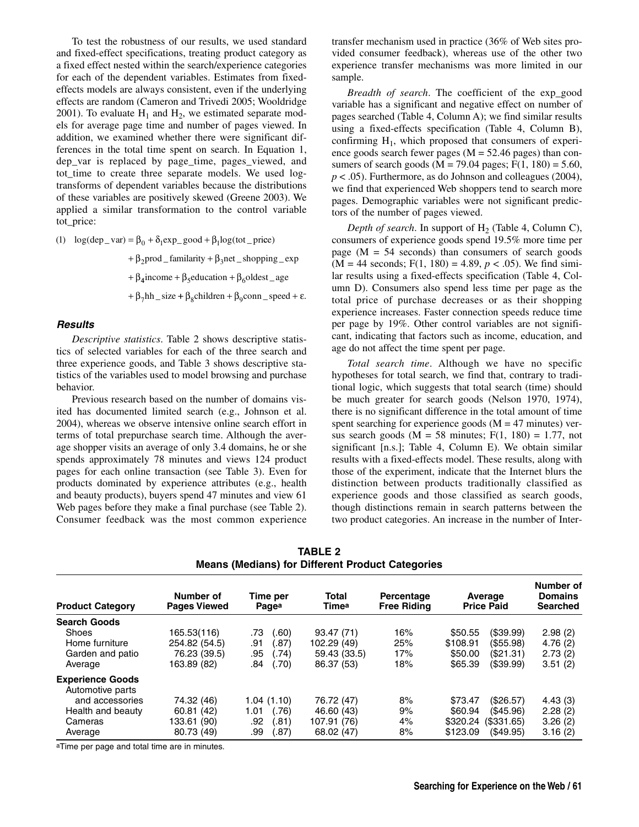To test the robustness of our results, we used standard and fixed-effect specifications, treating product category as a fixed effect nested within the search/experience categories for each of the dependent variables. Estimates from fixedeffects models are always consistent, even if the underlying effects are random (Cameron and Trivedi 2005; Wooldridge 2001). To evaluate  $H_1$  and  $H_2$ , we estimated separate models for average page time and number of pages viewed. In addition, we examined whether there were significant differences in the total time spent on search. In Equation 1, dep\_var is replaced by page\_time, pages\_viewed, and tot time to create three separate models. We used logtransforms of dependent variables because the distributions of these variables are positively skewed (Greene 2003). We applied a similar transformation to the control variable tot\_price:

(1) 
$$
\log(\text{dep}\_\text{var}) = \beta_0 + \delta_1 \exp\_\text{good} + \beta_1 \log(\text{tot}\_\text{price}) + \beta_2 \text{prod}\_\text{family} + \beta_3 \text{net}\_\text{shopping}\_\text{exp} + \beta_4 \text{income} + \beta_5 \text{ education} + \beta_6 \text{oldest}\_\text{age} + \beta_7 \text{hh}\_\text{size} + \beta_8 \text{children} + \beta_9 \text{conn}\_\text{speed} + \epsilon.
$$

#### **Results**

*Descriptive statistics*. Table 2 shows descriptive statistics of selected variables for each of the three search and three experience goods, and Table 3 shows descriptive statistics of the variables used to model browsing and purchase behavior.

Previous research based on the number of domains visited has documented limited search (e.g., Johnson et al. 2004), whereas we observe intensive online search effort in terms of total prepurchase search time. Although the average shopper visits an average of only 3.4 domains, he or she spends approximately 78 minutes and views 124 product pages for each online transaction (see Table 3). Even for products dominated by experience attributes (e.g., health and beauty products), buyers spend 47 minutes and view 61 Web pages before they make a final purchase (see Table 2). Consumer feedback was the most common experience

transfer mechanism used in practice (36% of Web sites provided consumer feedback), whereas use of the other two experience transfer mechanisms was more limited in our sample.

*Breadth of search*. The coefficient of the exp\_good variable has a significant and negative effect on number of pages searched (Table 4, Column A); we find similar results using a fixed-effects specification (Table 4, Column B), confirming  $H_1$ , which proposed that consumers of experience goods search fewer pages ( $M = 52.46$  pages) than consumers of search goods ( $M = 79.04$  pages;  $F(1, 180) = 5.60$ , *p* < .05). Furthermore, as do Johnson and colleagues (2004), we find that experienced Web shoppers tend to search more pages. Demographic variables were not significant predictors of the number of pages viewed.

*Depth of search*. In support of  $H_2$  (Table 4, Column C), consumers of experience goods spend 19.5% more time per page  $(M = 54$  seconds) than consumers of search goods  $(M = 44$  seconds;  $F(1, 180) = 4.89$ ,  $p < .05$ ). We find similar results using a fixed-effects specification (Table 4, Column D). Consumers also spend less time per page as the total price of purchase decreases or as their shopping experience increases. Faster connection speeds reduce time per page by 19%. Other control variables are not significant, indicating that factors such as income, education, and age do not affect the time spent per page.

*Total search time*. Although we have no specific hypotheses for total search, we find that, contrary to traditional logic, which suggests that total search (time) should be much greater for search goods (Nelson 1970, 1974), there is no significant difference in the total amount of time spent searching for experience goods  $(M = 47 \text{ minutes})$  versus search goods ( $M = 58$  minutes;  $F(1, 180) = 1.77$ , not significant [n.s.]; Table 4, Column E). We obtain similar results with a fixed-effects model. These results, along with those of the experiment, indicate that the Internet blurs the distinction between products traditionally classified as experience goods and those classified as search goods, though distinctions remain in search patterns between the two product categories. An increase in the number of Inter-

| <b>Means (Medians) for Different Product Categories</b> |                   |                |                                  |          |           |                                                |  |  |
|---------------------------------------------------------|-------------------|----------------|----------------------------------|----------|-----------|------------------------------------------------|--|--|
| Number of<br><b>Pages Viewed</b>                        | Time per<br>Pagea | Total<br>Timea | Percentage<br><b>Free Riding</b> |          |           | Number of<br><b>Domains</b><br><b>Searched</b> |  |  |
|                                                         |                   |                |                                  |          |           |                                                |  |  |
| 165.53(116)                                             | .60)<br>.73       | 93.47(71)      | 16%                              | \$50.55  | (\$39.99) | 2.98(2)                                        |  |  |
| 254.82 (54.5)                                           | (.87)<br>.91      | 102.29 (49)    | 25%                              | \$108.91 | (\$55.98) | 4.76(2)                                        |  |  |
| 76.23 (39.5)                                            | .95<br>(.74)      | 59.43 (33.5)   | 17%                              | \$50.00  | (\$21.31) | 2.73(2)                                        |  |  |
| 163.89 (82)                                             | (.70)<br>.84      | 86.37 (53)     | 18%                              | \$65.39  | (\$39.99) | 3.51(2)                                        |  |  |
|                                                         |                   |                |                                  |          |           |                                                |  |  |
| 74.32 (46)                                              | 1.04(1.10)        |                | 8%                               | \$73.47  |           | 4.43(3)                                        |  |  |
| 60.81 (42)                                              | (.76)<br>1.01     | 46.60 (43)     | 9%                               | \$60.94  | (\$45.96) | 2.28(2)                                        |  |  |
| 133.61 (90)                                             | (81.)<br>.92      | 107.91 (76)    | 4%                               | \$320.24 | (S331.65) | 3.26(2)                                        |  |  |
| 80.73 (49)                                              | (.87)<br>.99      | 68.02 (47)     | 8%                               | \$123.09 | (\$49.95) | 3.16(2)                                        |  |  |
|                                                         |                   |                | 76.72 (47)                       |          |           | Average<br><b>Price Paid</b><br>(\$26.57)      |  |  |

**TABLE 2**

aTime per page and total time are in minutes.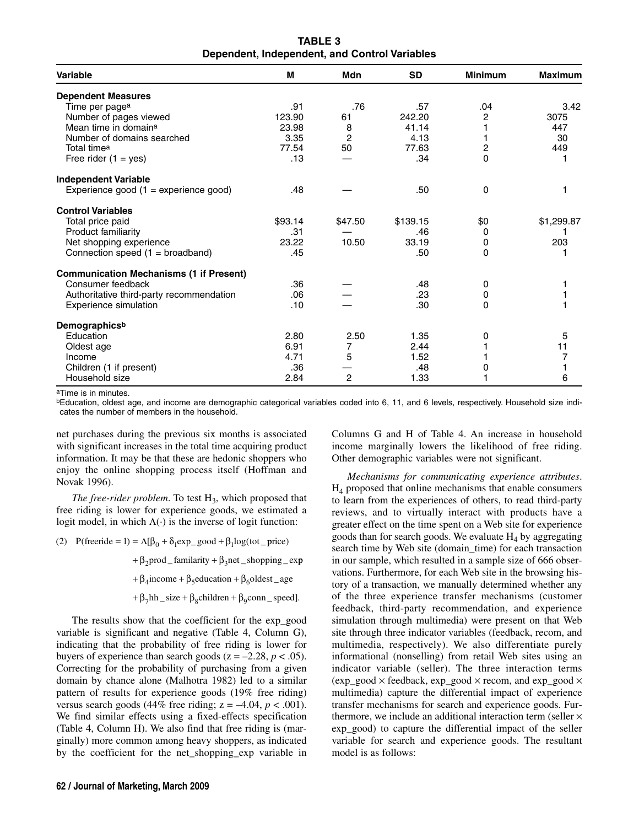**TABLE 3 Dependent, Independent, and Control Variables**

| <b>Variable</b>                                | м       | Mdn            | <b>SD</b> | <b>Minimum</b> | <b>Maximum</b> |
|------------------------------------------------|---------|----------------|-----------|----------------|----------------|
| <b>Dependent Measures</b>                      |         |                |           |                |                |
| Time per page <sup>a</sup>                     | .91     | .76            | .57       | .04            | 3.42           |
| Number of pages viewed                         | 123.90  | 61             | 242.20    | 2              | 3075           |
| Mean time in domaina                           | 23.98   | 8              | 41.14     |                | 447            |
| Number of domains searched                     | 3.35    | $\overline{c}$ | 4.13      |                | 30             |
| Total time <sup>a</sup>                        | 77.54   | 50             | 77.63     | 2              | 449            |
| Free rider $(1 = yes)$                         | .13     |                | .34       | 0              |                |
| <b>Independent Variable</b>                    |         |                |           |                |                |
| Experience good $(1 =$ experience good)        | .48     |                | .50       | 0              |                |
| <b>Control Variables</b>                       |         |                |           |                |                |
| Total price paid                               | \$93.14 | \$47.50        | \$139.15  | \$0            | \$1,299.87     |
| Product familiarity                            | .31     |                | .46       | 0              |                |
| Net shopping experience                        | 23.22   | 10.50          | 33.19     | 0              | 203            |
| Connection speed (1 = broadband)               | .45     |                | .50       | 0              |                |
| <b>Communication Mechanisms (1 if Present)</b> |         |                |           |                |                |
| Consumer feedback                              | .36     |                | .48       | 0              |                |
| Authoritative third-party recommendation       | .06     |                | .23       | 0              |                |
| Experience simulation                          | .10     |                | .30       | 0              |                |
| Demographicsb                                  |         |                |           |                |                |
| Education                                      | 2.80    | 2.50           | 1.35      | 0              | 5              |
| Oldest age                                     | 6.91    | 7              | 2.44      |                | 11             |
| Income                                         | 4.71    | 5              | 1.52      |                |                |
| Children (1 if present)                        | .36     |                | .48       | Ω              |                |
| Household size                                 | 2.84    | $\overline{2}$ | 1.33      |                | 6              |

aTime is in minutes.

bEducation, oldest age, and income are demographic categorical variables coded into 6, 11, and 6 levels, respectively. Household size indicates the number of members in the household.

net purchases during the previous six months is associated with significant increases in the total time acquiring product information. It may be that these are hedonic shoppers who enjoy the online shopping process itself (Hoffman and Novak 1996).

*The free-rider problem*. To test  $H_3$ , which proposed that free riding is lower for experience goods, we estimated a logit model, in which  $\Lambda(\cdot)$  is the inverse of logit function:

- (2)  $P(\text{frecride} = 1) = \Lambda[\beta_0 + \delta_1 \exp \text{-} \text{good} + \beta_1 \log(\text{tot} \text{-} \text{price})$ 
	- $+ \beta_2$ prod \_ familarity  $+ \beta_3$ net \_ shopping \_ exp
	- +  $\beta_4$  income +  $\beta_5$  education +  $\beta_6$  oldest \_ age
	- $+ \beta_7$ hh \_ size +  $\beta_8$ children +  $\beta_9$ conn \_ speed].

The results show that the coefficient for the exp\_good variable is significant and negative (Table 4, Column G), indicating that the probability of free riding is lower for buyers of experience than search goods ( $z = -2.28$ ,  $p < .05$ ). Correcting for the probability of purchasing from a given domain by chance alone (Malhotra 1982) led to a similar pattern of results for experience goods (19% free riding) versus search goods  $(44\%$  free riding;  $z = -4.04$ ,  $p < .001$ ). We find similar effects using a fixed-effects specification (Table 4, Column H). We also find that free riding is (marginally) more common among heavy shoppers, as indicated by the coefficient for the net\_shopping\_exp variable in Columns G and H of Table 4. An increase in household income marginally lowers the likelihood of free riding. Other demographic variables were not significant.

*Mechanisms for communicating experience attributes*. H4 proposed that online mechanisms that enable consumers to learn from the experiences of others, to read third-party reviews, and to virtually interact with products have a greater effect on the time spent on a Web site for experience goods than for search goods. We evaluate  $H_4$  by aggregating search time by Web site (domain\_time) for each transaction in our sample, which resulted in a sample size of 666 observations. Furthermore, for each Web site in the browsing history of a transaction, we manually determined whether any of the three experience transfer mechanisms (customer feedback, third-party recommendation, and experience simulation through multimedia) were present on that Web site through three indicator variables (feedback, recom, and multimedia, respectively). We also differentiate purely informational (nonselling) from retail Web sites using an indicator variable (seller). The three interaction terms (exp\_good  $\times$  feedback, exp\_good  $\times$  recom, and exp\_good  $\times$ multimedia) capture the differential impact of experience transfer mechanisms for search and experience goods. Furthermore, we include an additional interaction term (seller  $\times$ exp\_good) to capture the differential impact of the seller variable for search and experience goods. The resultant model is as follows: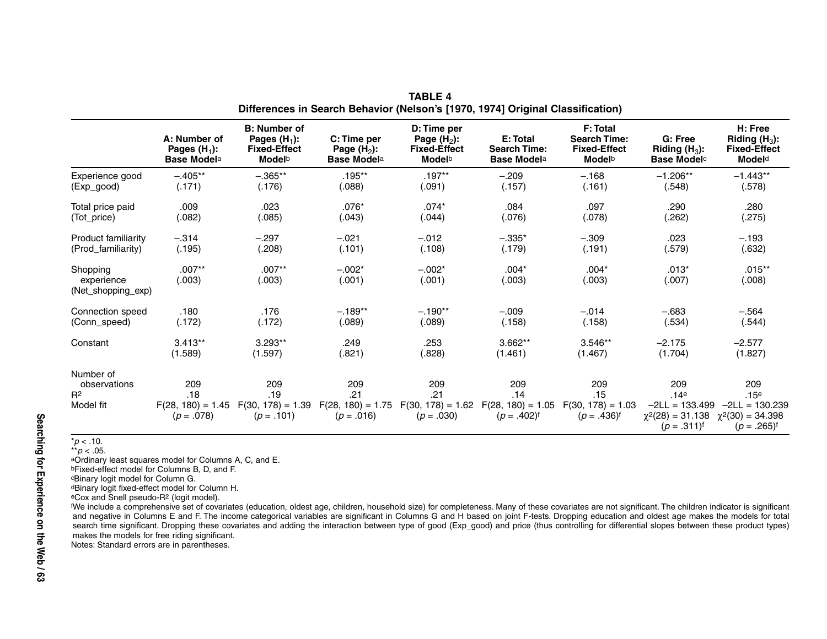|                                                 | A: Number of<br>Pages $(H_1)$ :<br><b>Base Modela</b> | <b>B:</b> Number of<br>Pages $(H_1)$ :<br><b>Fixed-Effect</b><br>Model <sup>b</sup> | C: Time per<br>Page $(H2)$ :<br>Base Model <sup>a</sup> | D: Time per<br>Page $(H2)$ :<br><b>Fixed-Effect</b><br>Model <sup>b</sup> | E: Total<br><b>Search Time:</b><br>Base Model <sup>a</sup> | <b>F: Total</b><br><b>Search Time:</b><br><b>Fixed-Effect</b><br>Model <sup>b</sup> | G: Free<br>Riding $(H_3)$ :<br><b>Base Model</b> <sup>c</sup>            | H: Free<br>Riding $(H_3)$ :<br><b>Fixed-Effect</b><br>Model <sup>d</sup> |
|-------------------------------------------------|-------------------------------------------------------|-------------------------------------------------------------------------------------|---------------------------------------------------------|---------------------------------------------------------------------------|------------------------------------------------------------|-------------------------------------------------------------------------------------|--------------------------------------------------------------------------|--------------------------------------------------------------------------|
| Experience good                                 | $-.405**$                                             | $-.365**$                                                                           | $.195***$                                               | $.197***$                                                                 | $-.209$                                                    | $-.168$                                                                             | $-1.206**$                                                               | $-1.443**$                                                               |
| (Exp_good)                                      | (.171)                                                | (.176)                                                                              | (.088)                                                  | (.091)                                                                    | (.157)                                                     | (.161)                                                                              | (.548)                                                                   | (.578)                                                                   |
| Total price paid                                | .009                                                  | .023                                                                                | $.076*$                                                 | $.074*$                                                                   | .084                                                       | .097                                                                                | .290                                                                     | .280                                                                     |
| (Tot_price)                                     | (.082)                                                | (.085)                                                                              | (.043)                                                  | (.044)                                                                    | (.076)                                                     | (.078)                                                                              | (.262)                                                                   | (.275)                                                                   |
| Product familiarity                             | $-.314$                                               | $-.297$                                                                             | $-.021$                                                 | $-.012$                                                                   | $-.335*$                                                   | $-.309$                                                                             | .023                                                                     | $-.193$                                                                  |
| (Prod_familiarity)                              | (.195)                                                | (.208)                                                                              | (.101)                                                  | (.108)                                                                    | (.179)                                                     | (.191)                                                                              | (.579)                                                                   | (.632)                                                                   |
| Shopping<br>experience<br>(Net_shopping_exp)    | $.007**$<br>(.003)                                    | $.007***$<br>(.003)                                                                 | $-.002*$<br>(.001)                                      | $-.002*$<br>(.001)                                                        | $.004*$<br>(.003)                                          | $.004*$<br>(.003)                                                                   | $.013*$<br>(.007)                                                        | $.015***$<br>(0.008)                                                     |
| Connection speed                                | .180                                                  | .176                                                                                | $-.189**$                                               | $-.190**$                                                                 | $-.009$                                                    | $-.014$                                                                             | $-.683$                                                                  | $-.564$                                                                  |
| (Conn_speed)                                    | (.172)                                                | (.172)                                                                              | (.089)                                                  | (.089)                                                                    | (.158)                                                     | (.158)                                                                              | (.534)                                                                   | (.544)                                                                   |
| Constant                                        | $3.413**$                                             | 3.293**                                                                             | .249                                                    | .253                                                                      | 3.662**                                                    | 3.546**                                                                             | $-2.175$                                                                 | $-2.577$                                                                 |
|                                                 | (1.589)                                               | (1.597)                                                                             | (.821)                                                  | (.828)                                                                    | (1.461)                                                    | (1.467)                                                                             | (1.704)                                                                  | (1.827)                                                                  |
| Number of<br>observations<br>$R^2$<br>Model fit | 209<br>.18<br>$F(28, 180) = 1.45$<br>$(p=.078)$       | 209<br>.19<br>$F(30, 178) = 1.39$<br>$(p=.101)$                                     | 209<br>.21<br>$F(28, 180) = 1.75$<br>$(p=.016)$         | 209<br>.21<br>$F(30, 178) = 1.62$<br>$(p=.030)$                           | 209<br>.14<br>$F(28, 180) = 1.05$<br>$(p=.402)^f$          | 209<br>.15<br>$F(30, 178) = 1.03$<br>$(p = .436)^{f}$                               | 209<br>.14e<br>$-2LL = 133.499$<br>$\chi^2(28) = 31.138$<br>$(p=.311)^f$ | 209<br>.15e<br>$-2LL = 130.239$<br>$\chi^2(30) = 34.398$<br>$(p=.265)^f$ |

**TABLE 4Differences in Search Behavior (Nelson's [1970, 1974] Original Classification)**

 $*p < .10.$ 

\*\* $p < .05$ .

aOrdinary least squares model for Columns A, C, and E.

bFixed-effect model for Columns B, D, and F.

cBinary logit model for Column G.

dBinary logit fixed-effect model for Column H.

eCox and Snell pseudo-R2 (logit model).

fWe include a comprehensive set of covariates (education, oldest age, children, household size) for completeness. Many of these covariates are not significant. The children indicator is significant and negative in Columns E and F. The income categorical variables are significant in Columns G and H based on joint F-tests. Dropping education and oldest age makes the models for total search time significant. Dropping these covariates and adding the interaction between type of good (Exp\_good) and price (thus controlling for differential slopes between these product types) makes the models for free riding significant.

Notes: Standard errors are in parentheses.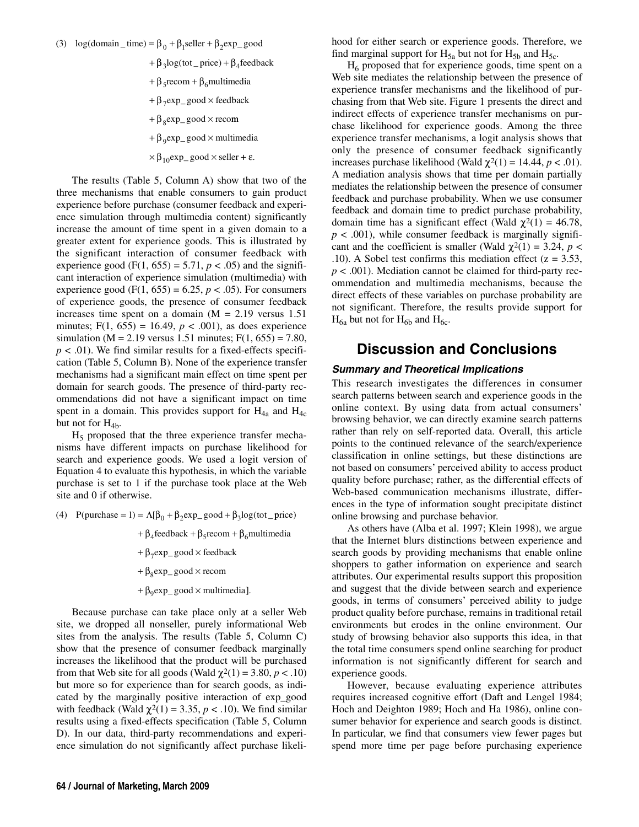- +  $\beta_3$ log(tot\_price) +  $\beta_4$ feedback
- $+ \beta_5$ recom  $+ \beta_6$ multimedia
- +  $\beta$ <sub>7</sub>exp<sub>-</sub>good  $\times$  feedback
- $+ \beta_8 \exp_8 \operatorname{good} \times \operatorname{recom}$
- $+ \beta_9$ exp\_good × multimedia
- $\times \beta_{10} \exp \approx \text{good} \times \text{ seller} + \varepsilon.$

The results (Table 5, Column A) show that two of the three mechanisms that enable consumers to gain product experience before purchase (consumer feedback and experience simulation through multimedia content) significantly increase the amount of time spent in a given domain to a greater extent for experience goods. This is illustrated by the significant interaction of consumer feedback with experience good (F(1, 655) = 5.71,  $p < .05$ ) and the significant interaction of experience simulation (multimedia) with experience good  $(F(1, 655) = 6.25, p < .05)$ . For consumers of experience goods, the presence of consumer feedback increases time spent on a domain  $(M = 2.19$  versus 1.51 minutes;  $F(1, 655) = 16.49, p < .001$ , as does experience simulation (M = 2.19 versus 1.51 minutes;  $F(1, 655) = 7.80$ ,  $p < .01$ ). We find similar results for a fixed-effects specification (Table 5, Column B). None of the experience transfer mechanisms had a significant main effect on time spent per domain for search goods. The presence of third-party recommendations did not have a significant impact on time spent in a domain. This provides support for  $H_{4a}$  and  $H_{4c}$ but not for  $H_{4h}$ .

 $H<sub>5</sub>$  proposed that the three experience transfer mechanisms have different impacts on purchase likelihood for search and experience goods. We used a logit version of Equation 4 to evaluate this hypothesis, in which the variable purchase is set to 1 if the purchase took place at the Web site and 0 if otherwise.

(4)  $P(purchase = 1) = \Lambda[\beta_0 + \beta_2 exp\_good + \beta_3 log(tot\_price)]$ 

+  $\beta_4$  feedback +  $\beta_5$  recom +  $\beta_6$  multimedia

- +  $\beta_7$ exp\_good × feedback
- +  $\beta_8$ exp<sub>-good</sub> × recom
- $+\beta_9 \exp \sim \text{good} \times \text{multimedial}.$

Because purchase can take place only at a seller Web site, we dropped all nonseller, purely informational Web sites from the analysis. The results (Table 5, Column C) show that the presence of consumer feedback marginally increases the likelihood that the product will be purchased from that Web site for all goods (Wald  $\chi^2(1) = 3.80, p < .10$ ) but more so for experience than for search goods, as indicated by the marginally positive interaction of exp\_good with feedback (Wald  $\chi^2(1) = 3.35$ ,  $p < .10$ ). We find similar results using a fixed-effects specification (Table 5, Column D). In our data, third-party recommendations and experience simulation do not significantly affect purchase likelihood for either search or experience goods. Therefore, we find marginal support for  $H_{5a}$  but not for  $H_{5b}$  and  $H_{5c}$ .

 $H<sub>6</sub>$  proposed that for experience goods, time spent on a Web site mediates the relationship between the presence of experience transfer mechanisms and the likelihood of purchasing from that Web site. Figure 1 presents the direct and indirect effects of experience transfer mechanisms on purchase likelihood for experience goods. Among the three experience transfer mechanisms, a logit analysis shows that only the presence of consumer feedback significantly increases purchase likelihood (Wald  $\gamma^2(1) = 14.44$ ,  $p < .01$ ). A mediation analysis shows that time per domain partially mediates the relationship between the presence of consumer feedback and purchase probability. When we use consumer feedback and domain time to predict purchase probability, domain time has a significant effect (Wald  $\chi^2(1) = 46.78$ ,  $p < .001$ ), while consumer feedback is marginally significant and the coefficient is smaller (Wald  $\chi^2(1) = 3.24$ , *p* < .10). A Sobel test confirms this mediation effect  $(z = 3.53,$  $p < .001$ ). Mediation cannot be claimed for third-party recommendation and multimedia mechanisms, because the direct effects of these variables on purchase probability are not significant. Therefore, the results provide support for  $H_{6a}$  but not for  $H_{6b}$  and  $H_{6c}$ .

## **Discussion and Conclusions**

#### **Summary and Theoretical Implications**

This research investigates the differences in consumer search patterns between search and experience goods in the online context. By using data from actual consumers' browsing behavior, we can directly examine search patterns rather than rely on self-reported data. Overall, this article points to the continued relevance of the search/experience classification in online settings, but these distinctions are not based on consumers' perceived ability to access product quality before purchase; rather, as the differential effects of Web-based communication mechanisms illustrate, differences in the type of information sought precipitate distinct online browsing and purchase behavior.

As others have (Alba et al. 1997; Klein 1998), we argue that the Internet blurs distinctions between experience and search goods by providing mechanisms that enable online shoppers to gather information on experience and search attributes. Our experimental results support this proposition and suggest that the divide between search and experience goods, in terms of consumers' perceived ability to judge product quality before purchase, remains in traditional retail environments but erodes in the online environment. Our study of browsing behavior also supports this idea, in that the total time consumers spend online searching for product information is not significantly different for search and experience goods.

However, because evaluating experience attributes requires increased cognitive effort (Daft and Lengel 1984; Hoch and Deighton 1989; Hoch and Ha 1986), online consumer behavior for experience and search goods is distinct. In particular, we find that consumers view fewer pages but spend more time per page before purchasing experience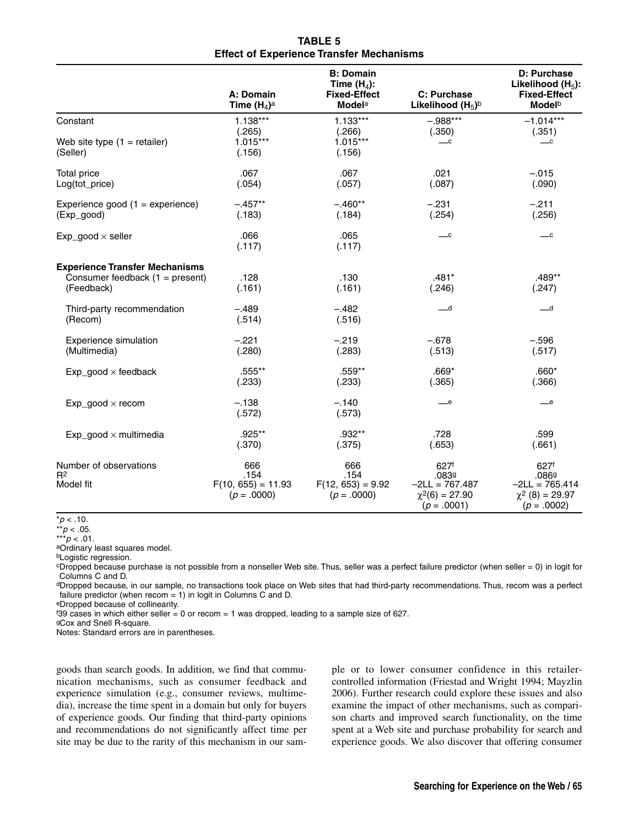**TABLE 5 Effect of Experience Transfer Mechanisms**

|                                                                                          | A: Domain<br>Time $(H_4)^a$         | <b>B: Domain</b><br>Time $(H_4)$ :<br><b>Fixed-Effect</b><br><b>Modela</b> | C: Purchase<br>Likelihood $(H_5)^b$                      | <b>D: Purchase</b><br>Likelihood $(H_5)$ :<br><b>Fixed-Effect</b><br>Modelb |
|------------------------------------------------------------------------------------------|-------------------------------------|----------------------------------------------------------------------------|----------------------------------------------------------|-----------------------------------------------------------------------------|
| Constant                                                                                 | $1.138***$                          | $1.133***$                                                                 | $-.988***$                                               | $-1.014***$                                                                 |
| Web site type $(1 = \text{retailer})$<br>(Seller)                                        | (.265)<br>$1.015***$<br>(.156)      | (.266)<br>$1.015***$<br>(.156)                                             | (.350)<br>$\_\_c$                                        | (.351)<br>$\_\csc$                                                          |
| Total price<br>Log(tot price)                                                            | .067<br>(.054)                      | .067<br>(.057)                                                             | .021<br>(.087)                                           | $-.015$<br>(.090)                                                           |
| Experience good $(1 =$ experience)<br>(Exp_good)                                         | $-.457**$<br>(.183)                 | $-.460**$<br>(.184)                                                        | $-.231$<br>(.254)                                        | $-.211$<br>(.256)                                                           |
| $Exp\_good \times seller$                                                                | .066<br>(.117)                      | .065<br>(.117)                                                             | $\_\mathbf{c}$                                           | $\_\_c$                                                                     |
| <b>Experience Transfer Mechanisms</b><br>Consumer feedback $(1 = present)$<br>(Feedback) | .128<br>(.161)                      | .130<br>(.161)                                                             | .481*<br>(.246)                                          | .489**<br>(.247)                                                            |
| Third-party recommendation<br>(Recom)                                                    | $-.489$<br>(.514)                   | $-.482$<br>(.516)                                                          | —d                                                       | —d                                                                          |
| Experience simulation<br>(Multimedia)                                                    | $-.221$<br>(.280)                   | $-.219$<br>(.283)                                                          | $-.678$<br>(.513)                                        | $-.596$<br>(.517)                                                           |
| $Exp\_good \times feedback$                                                              | .555**<br>(.233)                    | .559**<br>(.233)                                                           | $.669*$<br>(.365)                                        | $.660*$<br>(.366)                                                           |
| $Exp\_good \times recon$                                                                 | $-.138$<br>(.572)                   | $-.140$<br>(.573)                                                          | $-$ e                                                    | $-$ e                                                                       |
| $Exp\_good \times multimedia$                                                            | .925**<br>(.370)                    | .932**<br>(.375)                                                           | .728<br>(.653)                                           | .599<br>(.661)                                                              |
| Number of observations<br>R <sup>2</sup>                                                 | 666<br>.154                         | 666<br>.154                                                                | 627f<br>.0839                                            | 627f<br>.0869                                                               |
| Model fit                                                                                | $F(10, 655) = 11.93$<br>$(p=.0000)$ | $F(12, 653) = 9.92$<br>$(p=.0000)$                                         | $-2LL = 767.487$<br>$\chi^2(6) = 27.90$<br>$(p = .0001)$ | $-2LL = 765.414$<br>$\chi^2$ (8) = 29.97<br>$(p=.0002)$                     |

 $*p < .10$ .

 $*^{*}p < .05.$ \*\*\* $p < .01$ .

aOrdinary least squares model.

bLogistic regression.

 $c$ Dropped because purchase is not possible from a nonseller Web site. Thus, seller was a perfect failure predictor (when seller = 0) in logit for Columns C and D.

dDropped because, in our sample, no transactions took place on Web sites that had third-party recommendations. Thus, recom was a perfect failure predictor (when recom  $= 1$ ) in logit in Columns C and D.

eDropped because of collinearity.

f 39 cases in which either seller = 0 or recom = 1 was dropped, leading to a sample size of 627.

gCox and Snell R-square.

Notes: Standard errors are in parentheses.

goods than search goods. In addition, we find that communication mechanisms, such as consumer feedback and experience simulation (e.g., consumer reviews, multimedia), increase the time spent in a domain but only for buyers of experience goods. Our finding that third-party opinions and recommendations do not significantly affect time per site may be due to the rarity of this mechanism in our sample or to lower consumer confidence in this retailercontrolled information (Friestad and Wright 1994; Mayzlin 2006). Further research could explore these issues and also examine the impact of other mechanisms, such as comparison charts and improved search functionality, on the time spent at a Web site and purchase probability for search and experience goods. We also discover that offering consumer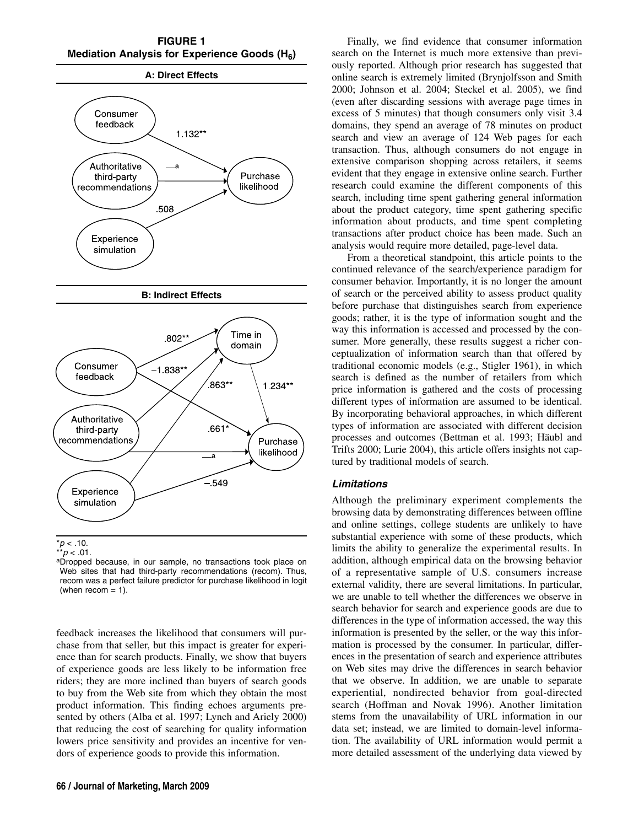

#### $*p$  < .10.  $*p < .01$ .

aDropped because, in our sample, no transactions took place on Web sites that had third-party recommendations (recom). Thus, recom was a perfect failure predictor for purchase likelihood in logit (when recom  $= 1$ ).

feedback increases the likelihood that consumers will purchase from that seller, but this impact is greater for experience than for search products. Finally, we show that buyers of experience goods are less likely to be information free riders; they are more inclined than buyers of search goods to buy from the Web site from which they obtain the most product information. This finding echoes arguments presented by others (Alba et al. 1997; Lynch and Ariely 2000) that reducing the cost of searching for quality information lowers price sensitivity and provides an incentive for vendors of experience goods to provide this information.

Finally, we find evidence that consumer information search on the Internet is much more extensive than previously reported. Although prior research has suggested that online search is extremely limited (Brynjolfsson and Smith 2000; Johnson et al. 2004; Steckel et al. 2005), we find (even after discarding sessions with average page times in excess of 5 minutes) that though consumers only visit 3.4 domains, they spend an average of 78 minutes on product search and view an average of 124 Web pages for each transaction. Thus, although consumers do not engage in extensive comparison shopping across retailers, it seems evident that they engage in extensive online search. Further research could examine the different components of this search, including time spent gathering general information about the product category, time spent gathering specific information about products, and time spent completing transactions after product choice has been made. Such an analysis would require more detailed, page-level data.

From a theoretical standpoint, this article points to the continued relevance of the search/experience paradigm for consumer behavior. Importantly, it is no longer the amount of search or the perceived ability to assess product quality before purchase that distinguishes search from experience goods; rather, it is the type of information sought and the way this information is accessed and processed by the consumer. More generally, these results suggest a richer conceptualization of information search than that offered by traditional economic models (e.g., Stigler 1961), in which search is defined as the number of retailers from which price information is gathered and the costs of processing different types of information are assumed to be identical. By incorporating behavioral approaches, in which different types of information are associated with different decision processes and outcomes (Bettman et al. 1993; Häubl and Trifts 2000; Lurie 2004), this article offers insights not captured by traditional models of search.

#### **Limitations**

Although the preliminary experiment complements the browsing data by demonstrating differences between offline and online settings, college students are unlikely to have substantial experience with some of these products, which limits the ability to generalize the experimental results. In addition, although empirical data on the browsing behavior of a representative sample of U.S. consumers increase external validity, there are several limitations. In particular, we are unable to tell whether the differences we observe in search behavior for search and experience goods are due to differences in the type of information accessed, the way this information is presented by the seller, or the way this information is processed by the consumer. In particular, differences in the presentation of search and experience attributes on Web sites may drive the differences in search behavior that we observe. In addition, we are unable to separate experiential, nondirected behavior from goal-directed search (Hoffman and Novak 1996). Another limitation stems from the unavailability of URL information in our data set; instead, we are limited to domain-level information. The availability of URL information would permit a more detailed assessment of the underlying data viewed by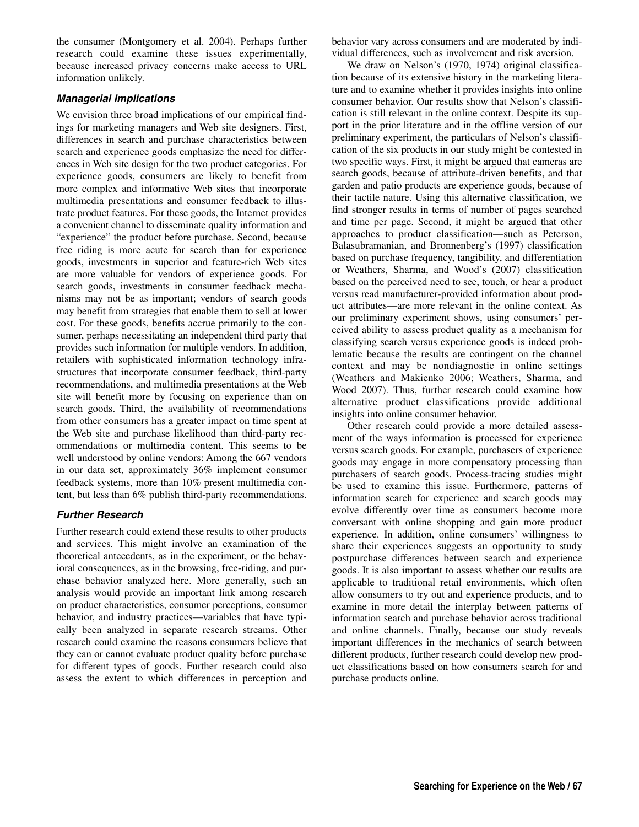the consumer (Montgomery et al. 2004). Perhaps further research could examine these issues experimentally, because increased privacy concerns make access to URL information unlikely.

#### **Managerial Implications**

We envision three broad implications of our empirical findings for marketing managers and Web site designers. First, differences in search and purchase characteristics between search and experience goods emphasize the need for differences in Web site design for the two product categories. For experience goods, consumers are likely to benefit from more complex and informative Web sites that incorporate multimedia presentations and consumer feedback to illustrate product features. For these goods, the Internet provides a convenient channel to disseminate quality information and "experience" the product before purchase. Second, because free riding is more acute for search than for experience goods, investments in superior and feature-rich Web sites are more valuable for vendors of experience goods. For search goods, investments in consumer feedback mechanisms may not be as important; vendors of search goods may benefit from strategies that enable them to sell at lower cost. For these goods, benefits accrue primarily to the consumer, perhaps necessitating an independent third party that provides such information for multiple vendors. In addition, retailers with sophisticated information technology infrastructures that incorporate consumer feedback, third-party recommendations, and multimedia presentations at the Web site will benefit more by focusing on experience than on search goods. Third, the availability of recommendations from other consumers has a greater impact on time spent at the Web site and purchase likelihood than third-party recommendations or multimedia content. This seems to be well understood by online vendors: Among the 667 vendors in our data set, approximately 36% implement consumer feedback systems, more than 10% present multimedia content, but less than 6% publish third-party recommendations.

#### **Further Research**

Further research could extend these results to other products and services. This might involve an examination of the theoretical antecedents, as in the experiment, or the behavioral consequences, as in the browsing, free-riding, and purchase behavior analyzed here. More generally, such an analysis would provide an important link among research on product characteristics, consumer perceptions, consumer behavior, and industry practices—variables that have typically been analyzed in separate research streams. Other research could examine the reasons consumers believe that they can or cannot evaluate product quality before purchase for different types of goods. Further research could also assess the extent to which differences in perception and

behavior vary across consumers and are moderated by individual differences, such as involvement and risk aversion.

We draw on Nelson's (1970, 1974) original classification because of its extensive history in the marketing literature and to examine whether it provides insights into online consumer behavior. Our results show that Nelson's classification is still relevant in the online context. Despite its support in the prior literature and in the offline version of our preliminary experiment, the particulars of Nelson's classification of the six products in our study might be contested in two specific ways. First, it might be argued that cameras are search goods, because of attribute-driven benefits, and that garden and patio products are experience goods, because of their tactile nature. Using this alternative classification, we find stronger results in terms of number of pages searched and time per page. Second, it might be argued that other approaches to product classification—such as Peterson, Balasubramanian, and Bronnenberg's (1997) classification based on purchase frequency, tangibility, and differentiation or Weathers, Sharma, and Wood's (2007) classification based on the perceived need to see, touch, or hear a product versus read manufacturer-provided information about product attributes—are more relevant in the online context. As our preliminary experiment shows, using consumers' perceived ability to assess product quality as a mechanism for classifying search versus experience goods is indeed problematic because the results are contingent on the channel context and may be nondiagnostic in online settings (Weathers and Makienko 2006; Weathers, Sharma, and Wood 2007). Thus, further research could examine how alternative product classifications provide additional insights into online consumer behavior.

Other research could provide a more detailed assessment of the ways information is processed for experience versus search goods. For example, purchasers of experience goods may engage in more compensatory processing than purchasers of search goods. Process-tracing studies might be used to examine this issue. Furthermore, patterns of information search for experience and search goods may evolve differently over time as consumers become more conversant with online shopping and gain more product experience. In addition, online consumers' willingness to share their experiences suggests an opportunity to study postpurchase differences between search and experience goods. It is also important to assess whether our results are applicable to traditional retail environments, which often allow consumers to try out and experience products, and to examine in more detail the interplay between patterns of information search and purchase behavior across traditional and online channels. Finally, because our study reveals important differences in the mechanics of search between different products, further research could develop new product classifications based on how consumers search for and purchase products online.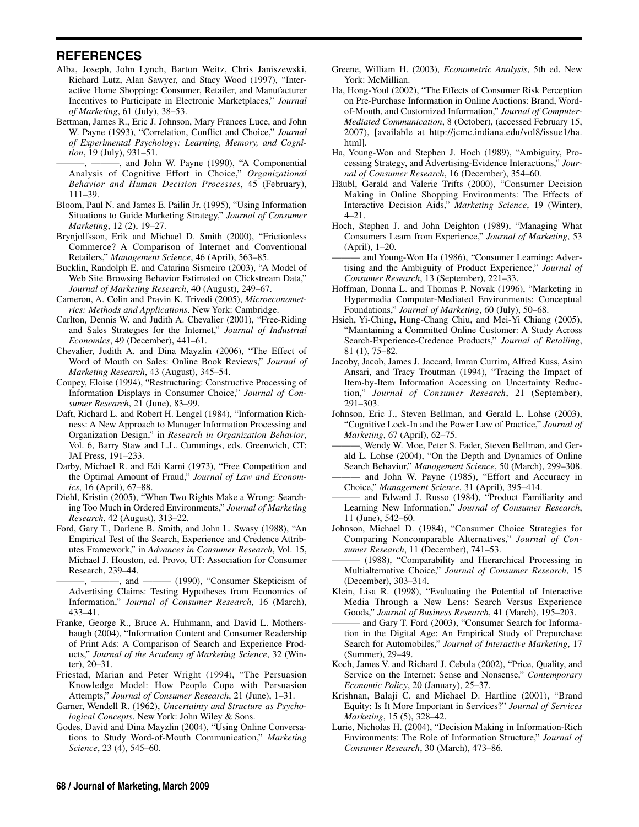#### **REFERENCES**

- Alba, Joseph, John Lynch, Barton Weitz, Chris Janiszewski, Richard Lutz, Alan Sawyer, and Stacy Wood (1997), "Interactive Home Shopping: Consumer, Retailer, and Manufacturer Incentives to Participate in Electronic Marketplaces," *Journal of Marketing*, 61 (July), 38–53.
- Bettman, James R., Eric J. Johnson, Mary Frances Luce, and John W. Payne (1993), "Correlation, Conflict and Choice," *Journal of Experimental Psychology: Learning, Memory, and Cognition*, 19 (July), 931–51.
	- ———, ———, and John W. Payne (1990), "A Componential Analysis of Cognitive Effort in Choice," *Organizational Behavior and Human Decision Processes*, 45 (February), 111–39.
- Bloom, Paul N. and James E. Pailin Jr. (1995), "Using Information Situations to Guide Marketing Strategy," *Journal of Consumer Marketing*, 12 (2), 19–27.
- Brynjolfsson, Erik and Michael D. Smith (2000), "Frictionless Commerce? A Comparison of Internet and Conventional Retailers," *Management Science*, 46 (April), 563–85.
- Bucklin, Randolph E. and Catarina Sismeiro (2003), "A Model of Web Site Browsing Behavior Estimated on Clickstream Data," *Journal of Marketing Research*, 40 (August), 249–67.
- Cameron, A. Colin and Pravin K. Trivedi (2005), *Microeconometrics: Methods and Applications*. New York: Cambridge.
- Carlton, Dennis W. and Judith A. Chevalier (2001), "Free-Riding and Sales Strategies for the Internet," *Journal of Industrial Economics*, 49 (December), 441–61.
- Chevalier, Judith A. and Dina Mayzlin (2006), "The Effect of Word of Mouth on Sales: Online Book Reviews," *Journal of Marketing Research*, 43 (August), 345–54.
- Coupey, Eloise (1994), "Restructuring: Constructive Processing of Information Displays in Consumer Choice," *Journal of Consumer Research*, 21 (June), 83–99.
- Daft, Richard L. and Robert H. Lengel (1984), "Information Richness: A New Approach to Manager Information Processing and Organization Design," in *Research in Organization Behavior*, Vol. 6, Barry Staw and L.L. Cummings, eds. Greenwich, CT: JAI Press, 191–233.
- Darby, Michael R. and Edi Karni (1973), "Free Competition and the Optimal Amount of Fraud," *Journal of Law and Economics*, 16 (April), 67–88.
- Diehl, Kristin (2005), "When Two Rights Make a Wrong: Searching Too Much in Ordered Environments," *Journal of Marketing Research*, 42 (August), 313–22.
- Ford, Gary T., Darlene B. Smith, and John L. Swasy (1988), "An Empirical Test of the Search, Experience and Credence Attributes Framework," in *Advances in Consumer Research*, Vol. 15, Michael J. Houston, ed. Provo, UT: Association for Consumer Research, 239–44.

-, and ——— (1990), "Consumer Skepticism of Advertising Claims: Testing Hypotheses from Economics of Information," *Journal of Consumer Research*, 16 (March), 433–41.

- Franke, George R., Bruce A. Huhmann, and David L. Mothersbaugh (2004), "Information Content and Consumer Readership of Print Ads: A Comparison of Search and Experience Products," *Journal of the Academy of Marketing Science*, 32 (Winter), 20–31.
- Friestad, Marian and Peter Wright (1994), "The Persuasion Knowledge Model: How People Cope with Persuasion Attempts," *Journal of Consumer Research*, 21 (June), 1–31.
- Garner, Wendell R. (1962), *Uncertainty and Structure as Psychological Concepts*. New York: John Wiley & Sons.
- Godes, David and Dina Mayzlin (2004), "Using Online Conversations to Study Word-of-Mouth Communication," *Marketing Science*, 23 (4), 545–60.
- Greene, William H. (2003), *Econometric Analysis*, 5th ed. New York: McMillian.
- Ha, Hong-Youl (2002), "The Effects of Consumer Risk Perception on Pre-Purchase Information in Online Auctions: Brand, Wordof-Mouth, and Customized Information," *Journal of Computer-Mediated Communication*, 8 (October), (accessed February 15, 2007), [available at http://jcmc.indiana.edu/vol8/issue1/ha. html].
- Ha, Young-Won and Stephen J. Hoch (1989), "Ambiguity, Processing Strategy, and Advertising-Evidence Interactions," *Journal of Consumer Research*, 16 (December), 354–60.
- Häubl, Gerald and Valerie Trifts (2000), "Consumer Decision Making in Online Shopping Environments: The Effects of Interactive Decision Aids," *Marketing Science*, 19 (Winter),  $4 - 21$ .
- Hoch, Stephen J. and John Deighton (1989), "Managing What Consumers Learn from Experience," *Journal of Marketing*, 53 (April), 1–20.
- and Young-Won Ha (1986), "Consumer Learning: Advertising and the Ambiguity of Product Experience," *Journal of Consumer Research*, 13 (September), 221–33.
- Hoffman, Donna L. and Thomas P. Novak (1996), "Marketing in Hypermedia Computer-Mediated Environments: Conceptual Foundations," *Journal of Marketing*, 60 (July), 50–68.
- Hsieh, Yi-Ching, Hung-Chang Chiu, and Mei-Yi Chiang (2005), "Maintaining a Committed Online Customer: A Study Across Search-Experience-Credence Products," *Journal of Retailing*, 81 (1), 75–82.
- Jacoby, Jacob, James J. Jaccard, Imran Currim, Alfred Kuss, Asim Ansari, and Tracy Troutman (1994), "Tracing the Impact of Item-by-Item Information Accessing on Uncertainty Reduction," *Journal of Consumer Research*, 21 (September), 291–303.
- Johnson, Eric J., Steven Bellman, and Gerald L. Lohse (2003), "Cognitive Lock-In and the Power Law of Practice," *Journal of Marketing*, 67 (April), 62–75.
- Wendy W. Moe, Peter S. Fader, Steven Bellman, and Gerald L. Lohse (2004), "On the Depth and Dynamics of Online Search Behavior," *Management Science*, 50 (March), 299–308.
- and John W. Payne (1985), "Effort and Accuracy in Choice," *Management Science*, 31 (April), 395–414.
- and Edward J. Russo (1984), "Product Familiarity and Learning New Information," *Journal of Consumer Research*, 11 (June), 542–60.
- Johnson, Michael D. (1984), "Consumer Choice Strategies for Comparing Noncomparable Alternatives," *Journal of Consumer Research*, 11 (December), 741–53.
- (1988), "Comparability and Hierarchical Processing in Multialternative Choice," *Journal of Consumer Research*, 15 (December), 303–314.
- Klein, Lisa R. (1998), "Evaluating the Potential of Interactive Media Through a New Lens: Search Versus Experience Goods," *Journal of Business Research*, 41 (March), 195–203.
- and Gary T. Ford (2003), "Consumer Search for Information in the Digital Age: An Empirical Study of Prepurchase Search for Automobiles," *Journal of Interactive Marketing*, 17 (Summer), 29–49.
- Koch, James V. and Richard J. Cebula (2002), "Price, Quality, and Service on the Internet: Sense and Nonsense," *Contemporary Economic Policy*, 20 (January), 25–37.
- Krishnan, Balaji C. and Michael D. Hartline (2001), "Brand Equity: Is It More Important in Services?" *Journal of Services Marketing*, 15 (5), 328–42.
- Lurie, Nicholas H. (2004), "Decision Making in Information-Rich Environments: The Role of Information Structure," *Journal of Consumer Research*, 30 (March), 473–86.